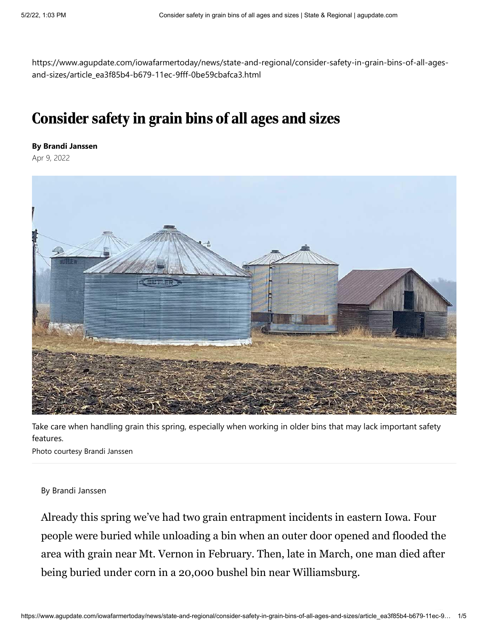https://www.agupdate.com/iowafarmertoday/news/state-and-regional/consider-safety-in-grain-bins-of-all-agesand-sizes/article\_ea3f85b4-b679-11ec-9fff-0be59cbafca3.html

## Consider safety in grain bins of all ages and sizes

## **By Brandi Janssen**

Apr 9, 2022



Take care when handling grain this spring, especially when working in older bins that may lack important safety features.

Photo courtesy Brandi Janssen

## By Brandi Janssen

Already this spring we've had two grain entrapment incidents in eastern Iowa. Four people were buried while unloading a bin when an outer door opened and flooded the area with grain near Mt. Vernon in February. Then, late in March, one man died after being buried under corn in a 20,000 bushel bin near Williamsburg.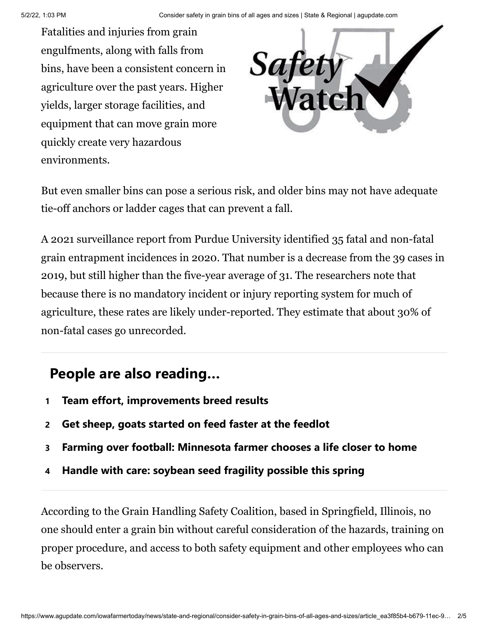Fatalities and injuries from grain engulfments, along with falls from bins, have been a consistent concern in agriculture over the past years. Higher yields, larger storage facilities, and equipment that can move grain more quickly create very hazardous environments.



But even smaller bins can pose a serious risk, and older bins may not have adequate tie-off anchors or ladder cages that can prevent a fall.

A 2021 surveillance report from Purdue University identified 35 fatal and non-fatal grain entrapment incidences in 2020. That number is a decrease from the 39 cases in 2019, but still higher than the five-year average of 31. The researchers note that because there is no mandatory incident or injury reporting system for much of agriculture, these rates are likely under-reported. They estimate that about 30% of non-fatal cases go unrecorded.

## **People are also reading…**

- **1 [Team effort, improvements breed results](https://www.agupdate.com/agriview/news/dairy/team-effort-improvements-breed-results/article_88ec79e6-bf72-584f-8565-2123d8eb3fa5.html#tracking-source=in-article-popular)**
- **2 [Get sheep, goats started on feed faster at the feedlot](https://www.agupdate.com/midwestmessenger/livestock/other/get-sheep-goats-started-on-feed-faster-at-the-feedlot/article_24dab07a-c0d6-11ec-a208-cbdb36de91da.html#tracking-source=in-article-popular)**
- **3 [Farming over football: Minnesota farmer chooses a life closer to home](https://www.agupdate.com/tristateneighbor/news/crop/farming-over-football-minnesota-farmer-chooses-a-life-closer-to-home/article_0713e390-bd02-11ec-a2b6-275467022c5a.html#tracking-source=in-article-popular)**
- **4 [Handle with care: soybean seed fragility possible this spring](https://www.agupdate.com/midwestmessenger/news/crop/handle-with-care-soybean-seed-fragility-possible-this-spring/article_fdefd432-bfee-11ec-b52f-0f2c523ce106.html#tracking-source=in-article-popular)**

According to the Grain Handling Safety Coalition, based in Springfield, Illinois, no one should enter a grain bin without careful consideration of the hazards, training on proper procedure, and access to both safety equipment and other employees who can be observers.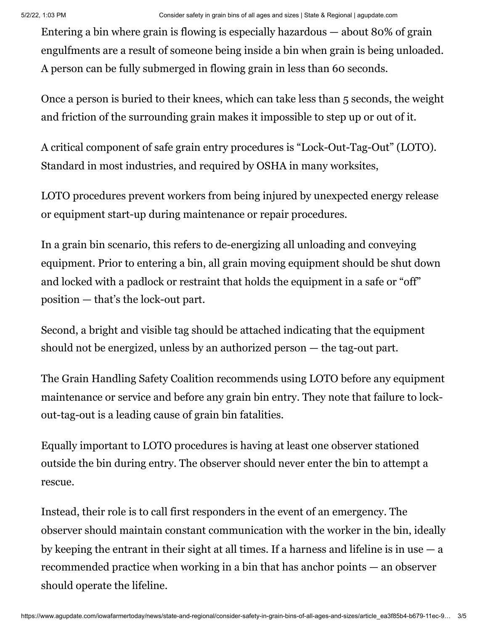Entering a bin where grain is flowing is especially hazardous — about 80% of grain engulfments are a result of someone being inside a bin when grain is being unloaded. A person can be fully submerged in flowing grain in less than 60 seconds.

Once a person is buried to their knees, which can take less than 5 seconds, the weight and friction of the surrounding grain makes it impossible to step up or out of it.

A critical component of safe grain entry procedures is "Lock-Out-Tag-Out" (LOTO). Standard in most industries, and required by OSHA in many worksites,

LOTO procedures prevent workers from being injured by unexpected energy release or equipment start-up during maintenance or repair procedures.

In a grain bin scenario, this refers to de-energizing all unloading and conveying equipment. Prior to entering a bin, all grain moving equipment should be shut down and locked with a padlock or restraint that holds the equipment in a safe or "off" position — that's the lock-out part.

Second, a bright and visible tag should be attached indicating that the equipment should not be energized, unless by an authorized person — the tag-out part.

The Grain Handling Safety Coalition recommends using LOTO before any equipment maintenance or service and before any grain bin entry. They note that failure to lockout-tag-out is a leading cause of grain bin fatalities.

Equally important to LOTO procedures is having at least one observer stationed outside the bin during entry. The observer should never enter the bin to attempt a rescue.

Instead, their role is to call first responders in the event of an emergency. The observer should maintain constant communication with the worker in the bin, ideally by keeping the entrant in their sight at all times. If a harness and lifeline is in use  $-a$ recommended practice when working in a bin that has anchor points — an observer should operate the lifeline.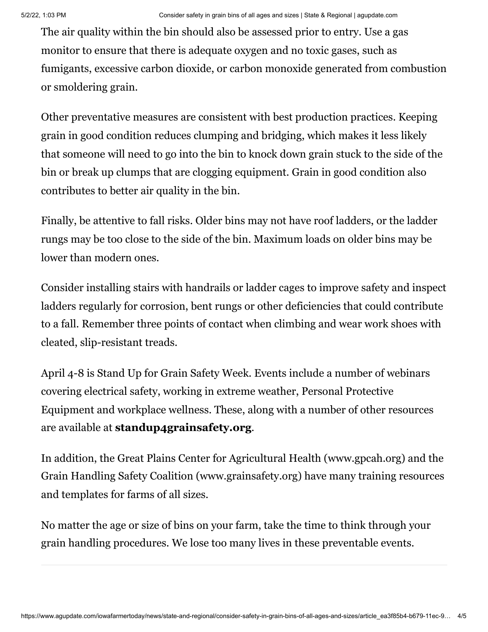The air quality within the bin should also be assessed prior to entry. Use a gas monitor to ensure that there is adequate oxygen and no toxic gases, such as fumigants, excessive carbon dioxide, or carbon monoxide generated from combustion or smoldering grain.

Other preventative measures are consistent with best production practices. Keeping grain in good condition reduces clumping and bridging, which makes it less likely that someone will need to go into the bin to knock down grain stuck to the side of the bin or break up clumps that are clogging equipment. Grain in good condition also contributes to better air quality in the bin.

Finally, be attentive to fall risks. Older bins may not have roof ladders, or the ladder rungs may be too close to the side of the bin. Maximum loads on older bins may be lower than modern ones.

Consider installing stairs with handrails or ladder cages to improve safety and inspect ladders regularly for corrosion, bent rungs or other deficiencies that could contribute to a fall. Remember three points of contact when climbing and wear work shoes with cleated, slip-resistant treads.

April 4-8 is Stand Up for Grain Safety Week. Events include a number of webinars covering electrical safety, working in extreme weather, Personal Protective Equipment and workplace wellness. These, along with a number of other resources are available at **[standup4grainsafety.org](http://standup4grainsafety.org/)**.

In addition, the Great Plains Center for Agricultural Health (www.gpcah.org) and the Grain Handling Safety Coalition (www.grainsafety.org) have many training resources and templates for farms of all sizes.

No matter the age or size of bins on your farm, take the time to think through your grain handling procedures. We lose too many lives in these preventable events.